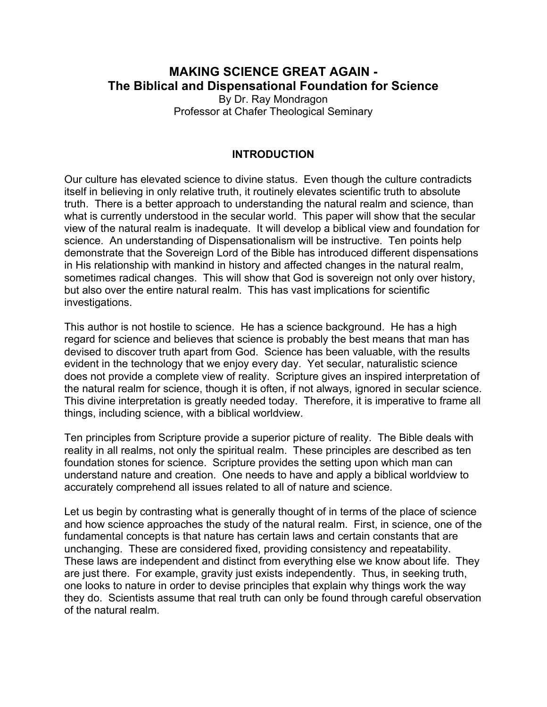## **MAKING SCIENCE GREAT AGAIN - The Biblical and Dispensational Foundation for Science** By Dr. Ray Mondragon Professor at Chafer Theological Seminary

### **INTRODUCTION**

Our culture has elevated science to divine status. Even though the culture contradicts itself in believing in only relative truth, it routinely elevates scientific truth to absolute truth. There is a better approach to understanding the natural realm and science, than what is currently understood in the secular world. This paper will show that the secular view of the natural realm is inadequate. It will develop a biblical view and foundation for science. An understanding of Dispensationalism will be instructive. Ten points help demonstrate that the Sovereign Lord of the Bible has introduced different dispensations in His relationship with mankind in history and affected changes in the natural realm, sometimes radical changes. This will show that God is sovereign not only over history, but also over the entire natural realm. This has vast implications for scientific investigations.

This author is not hostile to science. He has a science background. He has a high regard for science and believes that science is probably the best means that man has devised to discover truth apart from God. Science has been valuable, with the results evident in the technology that we enjoy every day. Yet secular, naturalistic science does not provide a complete view of reality. Scripture gives an inspired interpretation of the natural realm for science, though it is often, if not always, ignored in secular science. This divine interpretation is greatly needed today. Therefore, it is imperative to frame all things, including science, with a biblical worldview.

Ten principles from Scripture provide a superior picture of reality. The Bible deals with reality in all realms, not only the spiritual realm. These principles are described as ten foundation stones for science. Scripture provides the setting upon which man can understand nature and creation. One needs to have and apply a biblical worldview to accurately comprehend all issues related to all of nature and science.

Let us begin by contrasting what is generally thought of in terms of the place of science and how science approaches the study of the natural realm. First, in science, one of the fundamental concepts is that nature has certain laws and certain constants that are unchanging. These are considered fixed, providing consistency and repeatability. These laws are independent and distinct from everything else we know about life. They are just there. For example, gravity just exists independently. Thus, in seeking truth, one looks to nature in order to devise principles that explain why things work the way they do. Scientists assume that real truth can only be found through careful observation of the natural realm.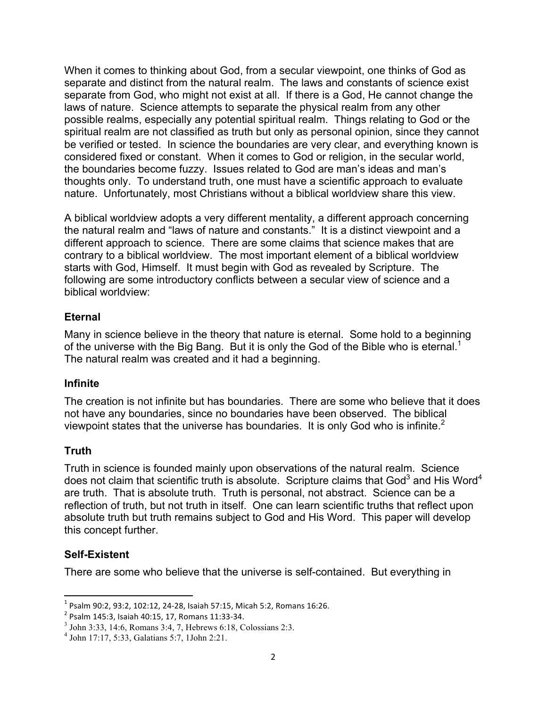When it comes to thinking about God, from a secular viewpoint, one thinks of God as separate and distinct from the natural realm. The laws and constants of science exist separate from God, who might not exist at all. If there is a God, He cannot change the laws of nature. Science attempts to separate the physical realm from any other possible realms, especially any potential spiritual realm. Things relating to God or the spiritual realm are not classified as truth but only as personal opinion, since they cannot be verified or tested. In science the boundaries are very clear, and everything known is considered fixed or constant. When it comes to God or religion, in the secular world, the boundaries become fuzzy. Issues related to God are man's ideas and man's thoughts only. To understand truth, one must have a scientific approach to evaluate nature. Unfortunately, most Christians without a biblical worldview share this view.

A biblical worldview adopts a very different mentality, a different approach concerning the natural realm and "laws of nature and constants." It is a distinct viewpoint and a different approach to science. There are some claims that science makes that are contrary to a biblical worldview. The most important element of a biblical worldview starts with God, Himself. It must begin with God as revealed by Scripture. The following are some introductory conflicts between a secular view of science and a biblical worldview:

### **Eternal**

Many in science believe in the theory that nature is eternal. Some hold to a beginning of the universe with the Big Bang. But it is only the God of the Bible who is eternal.<sup>1</sup> The natural realm was created and it had a beginning.

### **Infinite**

The creation is not infinite but has boundaries. There are some who believe that it does not have any boundaries, since no boundaries have been observed. The biblical viewpoint states that the universe has boundaries. It is only God who is infinite.<sup>2</sup>

### **Truth**

Truth in science is founded mainly upon observations of the natural realm. Science does not claim that scientific truth is absolute. Scripture claims that  $God<sup>3</sup>$  and His Word<sup>4</sup> are truth. That is absolute truth. Truth is personal, not abstract. Science can be a reflection of truth, but not truth in itself. One can learn scientific truths that reflect upon absolute truth but truth remains subject to God and His Word. This paper will develop this concept further.

## **Self-Existent**

There are some who believe that the universe is self-contained. But everything in

<sup>&</sup>lt;sup>1</sup> Psalm 90:2, 93:2, 102:12, 24-28, Isaiah 57:15, Micah 5:2, Romans 16:26. <sup>2</sup> Psalm 145:3, Isaiah 40:15, 17, Romans 11:33-34.

<sup>3</sup> John 3:33, 14:6, Romans 3:4, 7, Hebrews 6:18, Colossians 2:3.

<sup>4</sup> John 17:17, 5:33, Galatians 5:7, 1John 2:21.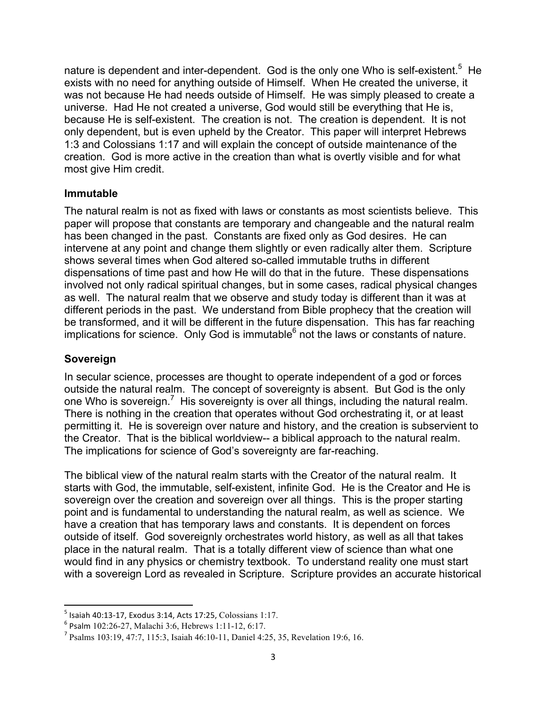nature is dependent and inter-dependent. God is the only one Who is self-existent.<sup>5</sup> He exists with no need for anything outside of Himself. When He created the universe, it was not because He had needs outside of Himself. He was simply pleased to create a universe. Had He not created a universe, God would still be everything that He is, because He is self-existent. The creation is not. The creation is dependent. It is not only dependent, but is even upheld by the Creator. This paper will interpret Hebrews 1:3 and Colossians 1:17 and will explain the concept of outside maintenance of the creation. God is more active in the creation than what is overtly visible and for what most give Him credit.

### **Immutable**

The natural realm is not as fixed with laws or constants as most scientists believe. This paper will propose that constants are temporary and changeable and the natural realm has been changed in the past. Constants are fixed only as God desires. He can intervene at any point and change them slightly or even radically alter them. Scripture shows several times when God altered so-called immutable truths in different dispensations of time past and how He will do that in the future. These dispensations involved not only radical spiritual changes, but in some cases, radical physical changes as well. The natural realm that we observe and study today is different than it was at different periods in the past. We understand from Bible prophecy that the creation will be transformed, and it will be different in the future dispensation. This has far reaching implications for science. Only God is immutable $<sup>6</sup>$  not the laws or constants of nature.</sup>

### **Sovereign**

In secular science, processes are thought to operate independent of a god or forces outside the natural realm. The concept of sovereignty is absent. But God is the only one Who is sovereign.<sup>7</sup> His sovereignty is over all things, including the natural realm. There is nothing in the creation that operates without God orchestrating it, or at least permitting it. He is sovereign over nature and history, and the creation is subservient to the Creator. That is the biblical worldview-- a biblical approach to the natural realm. The implications for science of God's sovereignty are far-reaching.

The biblical view of the natural realm starts with the Creator of the natural realm. It starts with God, the immutable, self-existent, infinite God. He is the Creator and He is sovereign over the creation and sovereign over all things. This is the proper starting point and is fundamental to understanding the natural realm, as well as science. We have a creation that has temporary laws and constants. It is dependent on forces outside of itself. God sovereignly orchestrates world history, as well as all that takes place in the natural realm. That is a totally different view of science than what one would find in any physics or chemistry textbook. To understand reality one must start with a sovereign Lord as revealed in Scripture. Scripture provides an accurate historical

<sup>&</sup>lt;sup>5</sup> Isaiah 40:13-17, Exodus 3:14, Acts 17:25, Colossians 1:17.<br>
<sup>6</sup> Psalm 102:26-27, Malachi 3:6, Hebrews 1:11-12, 6:17.<br>
<sup>7</sup> Psalms 103:19, 47:7, 115:3, Isaiah 46:10-11, Daniel 4:25, 35, Revelation 19:6, 16.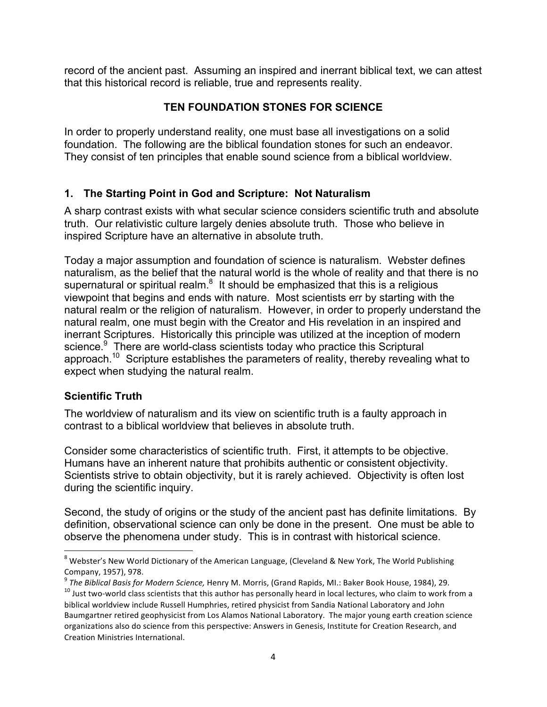record of the ancient past. Assuming an inspired and inerrant biblical text, we can attest that this historical record is reliable, true and represents reality.

## **TEN FOUNDATION STONES FOR SCIENCE**

In order to properly understand reality, one must base all investigations on a solid foundation. The following are the biblical foundation stones for such an endeavor. They consist of ten principles that enable sound science from a biblical worldview.

# **1. The Starting Point in God and Scripture: Not Naturalism**

A sharp contrast exists with what secular science considers scientific truth and absolute truth. Our relativistic culture largely denies absolute truth. Those who believe in inspired Scripture have an alternative in absolute truth.

Today a major assumption and foundation of science is naturalism. Webster defines naturalism, as the belief that the natural world is the whole of reality and that there is no supernatural or spiritual realm. $8$  It should be emphasized that this is a religious viewpoint that begins and ends with nature. Most scientists err by starting with the natural realm or the religion of naturalism. However, in order to properly understand the natural realm, one must begin with the Creator and His revelation in an inspired and inerrant Scriptures. Historically this principle was utilized at the inception of modern science.<sup>9</sup> There are world-class scientists today who practice this Scriptural approach.10 Scripture establishes the parameters of reality, thereby revealing what to expect when studying the natural realm.

## **Scientific Truth**

<u> 1989 - Johann Stein, markin film yn y breninn y breninn y breninn y breninn y breninn y breninn y breninn y b</u>

The worldview of naturalism and its view on scientific truth is a faulty approach in contrast to a biblical worldview that believes in absolute truth.

Consider some characteristics of scientific truth. First, it attempts to be objective. Humans have an inherent nature that prohibits authentic or consistent objectivity. Scientists strive to obtain objectivity, but it is rarely achieved. Objectivity is often lost during the scientific inquiry.

Second, the study of origins or the study of the ancient past has definite limitations. By definition, observational science can only be done in the present. One must be able to observe the phenomena under study. This is in contrast with historical science.

<sup>&</sup>lt;sup>8</sup> Webster's New World Dictionary of the American Language, (Cleveland & New York, The World Publishing Company, 1957), 978.

of the Biblical Basis for Modern Science, Henry M. Morris, (Grand Rapids, MI.: Baker Book House, 1984), 29.<br><sup>10</sup> Just two-world class scientists that this author has personally heard in local lectures, who claim to work fr biblical worldview include Russell Humphries, retired physicist from Sandia National Laboratory and John Baumgartner retired geophysicist from Los Alamos National Laboratory. The major young earth creation science organizations also do science from this perspective: Answers in Genesis, Institute for Creation Research, and Creation Ministries International.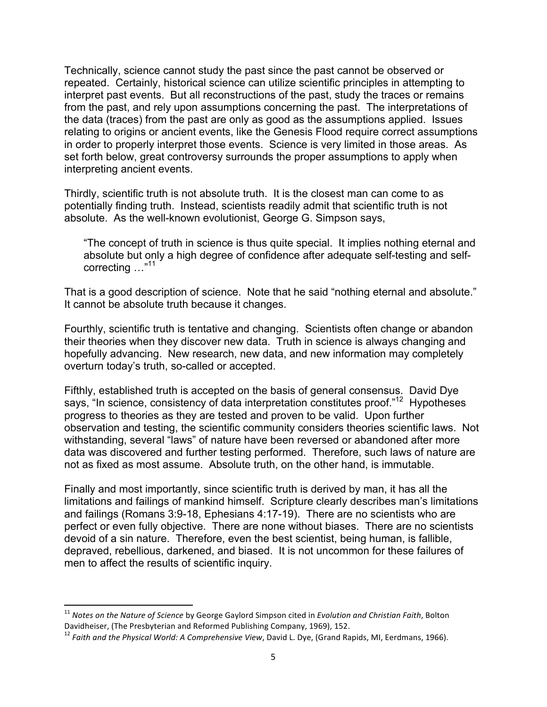Technically, science cannot study the past since the past cannot be observed or repeated. Certainly, historical science can utilize scientific principles in attempting to interpret past events. But all reconstructions of the past, study the traces or remains from the past, and rely upon assumptions concerning the past. The interpretations of the data (traces) from the past are only as good as the assumptions applied. Issues relating to origins or ancient events, like the Genesis Flood require correct assumptions in order to properly interpret those events. Science is very limited in those areas. As set forth below, great controversy surrounds the proper assumptions to apply when interpreting ancient events.

Thirdly, scientific truth is not absolute truth. It is the closest man can come to as potentially finding truth. Instead, scientists readily admit that scientific truth is not absolute. As the well-known evolutionist, George G. Simpson says,

"The concept of truth in science is thus quite special. It implies nothing eternal and absolute but only a high degree of confidence after adequate self-testing and selfcorrecting ..."<sup>11</sup>

That is a good description of science. Note that he said "nothing eternal and absolute." It cannot be absolute truth because it changes.

Fourthly, scientific truth is tentative and changing. Scientists often change or abandon their theories when they discover new data. Truth in science is always changing and hopefully advancing. New research, new data, and new information may completely overturn today's truth, so-called or accepted.

Fifthly, established truth is accepted on the basis of general consensus. David Dye says, "In science, consistency of data interpretation constitutes proof."<sup>12</sup> Hypotheses progress to theories as they are tested and proven to be valid. Upon further observation and testing, the scientific community considers theories scientific laws. Not withstanding, several "laws" of nature have been reversed or abandoned after more data was discovered and further testing performed. Therefore, such laws of nature are not as fixed as most assume. Absolute truth, on the other hand, is immutable.

Finally and most importantly, since scientific truth is derived by man, it has all the limitations and failings of mankind himself. Scripture clearly describes man's limitations and failings (Romans 3:9-18, Ephesians 4:17-19). There are no scientists who are perfect or even fully objective. There are none without biases. There are no scientists devoid of a sin nature. Therefore, even the best scientist, being human, is fallible, depraved, rebellious, darkened, and biased. It is not uncommon for these failures of men to affect the results of scientific inquiry.

<sup>&</sup>lt;sup>11</sup> Notes on the Nature of Science by George Gaylord Simpson cited in *Evolution and Christian Faith*, Bolton<br>Davidheiser, (The Presbyterian and Reformed Publishing Company, 1969), 152.

<sup>&</sup>lt;sup>12</sup> Faith and the Physical World: A Comprehensive View, David L. Dye, (Grand Rapids, MI, Eerdmans, 1966).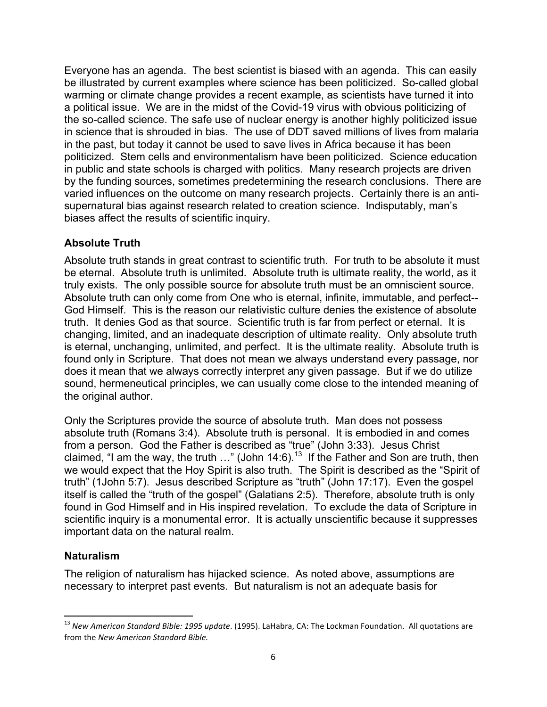Everyone has an agenda. The best scientist is biased with an agenda. This can easily be illustrated by current examples where science has been politicized. So-called global warming or climate change provides a recent example, as scientists have turned it into a political issue. We are in the midst of the Covid-19 virus with obvious politicizing of the so-called science. The safe use of nuclear energy is another highly politicized issue in science that is shrouded in bias. The use of DDT saved millions of lives from malaria in the past, but today it cannot be used to save lives in Africa because it has been politicized. Stem cells and environmentalism have been politicized. Science education in public and state schools is charged with politics. Many research projects are driven by the funding sources, sometimes predetermining the research conclusions. There are varied influences on the outcome on many research projects. Certainly there is an antisupernatural bias against research related to creation science. Indisputably, man's biases affect the results of scientific inquiry.

## **Absolute Truth**

Absolute truth stands in great contrast to scientific truth. For truth to be absolute it must be eternal. Absolute truth is unlimited. Absolute truth is ultimate reality, the world, as it truly exists. The only possible source for absolute truth must be an omniscient source. Absolute truth can only come from One who is eternal, infinite, immutable, and perfect-- God Himself. This is the reason our relativistic culture denies the existence of absolute truth. It denies God as that source. Scientific truth is far from perfect or eternal. It is changing, limited, and an inadequate description of ultimate reality. Only absolute truth is eternal, unchanging, unlimited, and perfect. It is the ultimate reality. Absolute truth is found only in Scripture. That does not mean we always understand every passage, nor does it mean that we always correctly interpret any given passage. But if we do utilize sound, hermeneutical principles, we can usually come close to the intended meaning of the original author.

Only the Scriptures provide the source of absolute truth. Man does not possess absolute truth (Romans 3:4). Absolute truth is personal. It is embodied in and comes from a person. God the Father is described as "true" (John 3:33). Jesus Christ claimed, "I am the way, the truth  $\ldots$ " (John 14:6).<sup>13</sup> If the Father and Son are truth, then we would expect that the Hoy Spirit is also truth. The Spirit is described as the "Spirit of truth" (1John 5:7). Jesus described Scripture as "truth" (John 17:17). Even the gospel itself is called the "truth of the gospel" (Galatians 2:5). Therefore, absolute truth is only found in God Himself and in His inspired revelation. To exclude the data of Scripture in scientific inquiry is a monumental error. It is actually unscientific because it suppresses important data on the natural realm.

## **Naturalism**

<u> 1989 - Johann Stein, markin film yn y breninn y breninn y breninn y breninn y breninn y breninn y breninn y b</u>

The religion of naturalism has hijacked science. As noted above, assumptions are necessary to interpret past events. But naturalism is not an adequate basis for

<sup>&</sup>lt;sup>13</sup> New American Standard Bible: 1995 update. (1995). LaHabra, CA: The Lockman Foundation. All quotations are from the *New American Standard Bible.*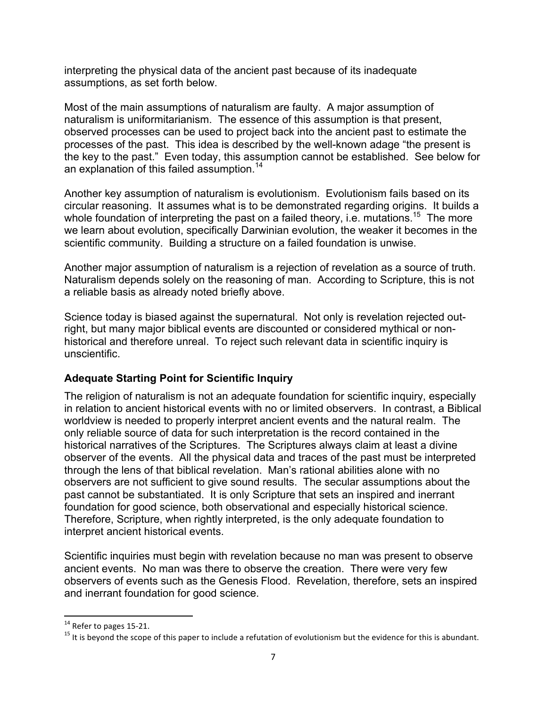interpreting the physical data of the ancient past because of its inadequate assumptions, as set forth below.

Most of the main assumptions of naturalism are faulty. A major assumption of naturalism is uniformitarianism. The essence of this assumption is that present, observed processes can be used to project back into the ancient past to estimate the processes of the past. This idea is described by the well-known adage "the present is the key to the past." Even today, this assumption cannot be established. See below for an explanation of this failed assumption.<sup>14</sup>

Another key assumption of naturalism is evolutionism. Evolutionism fails based on its circular reasoning. It assumes what is to be demonstrated regarding origins. It builds a whole foundation of interpreting the past on a failed theory, i.e. mutations.<sup>15</sup> The more we learn about evolution, specifically Darwinian evolution, the weaker it becomes in the scientific community. Building a structure on a failed foundation is unwise.

Another major assumption of naturalism is a rejection of revelation as a source of truth. Naturalism depends solely on the reasoning of man. According to Scripture, this is not a reliable basis as already noted briefly above.

Science today is biased against the supernatural. Not only is revelation rejected outright, but many major biblical events are discounted or considered mythical or nonhistorical and therefore unreal. To reject such relevant data in scientific inquiry is unscientific.

## **Adequate Starting Point for Scientific Inquiry**

The religion of naturalism is not an adequate foundation for scientific inquiry, especially in relation to ancient historical events with no or limited observers. In contrast, a Biblical worldview is needed to properly interpret ancient events and the natural realm. The only reliable source of data for such interpretation is the record contained in the historical narratives of the Scriptures. The Scriptures always claim at least a divine observer of the events. All the physical data and traces of the past must be interpreted through the lens of that biblical revelation. Man's rational abilities alone with no observers are not sufficient to give sound results. The secular assumptions about the past cannot be substantiated. It is only Scripture that sets an inspired and inerrant foundation for good science, both observational and especially historical science. Therefore, Scripture, when rightly interpreted, is the only adequate foundation to interpret ancient historical events.

Scientific inquiries must begin with revelation because no man was present to observe ancient events. No man was there to observe the creation. There were very few observers of events such as the Genesis Flood. Revelation, therefore, sets an inspired and inerrant foundation for good science.

<sup>&</sup>lt;sup>14</sup> Refer to pages 15-21.<br><sup>15</sup> It is beyond the scope of this paper to include a refutation of evolutionism but the evidence for this is abundant.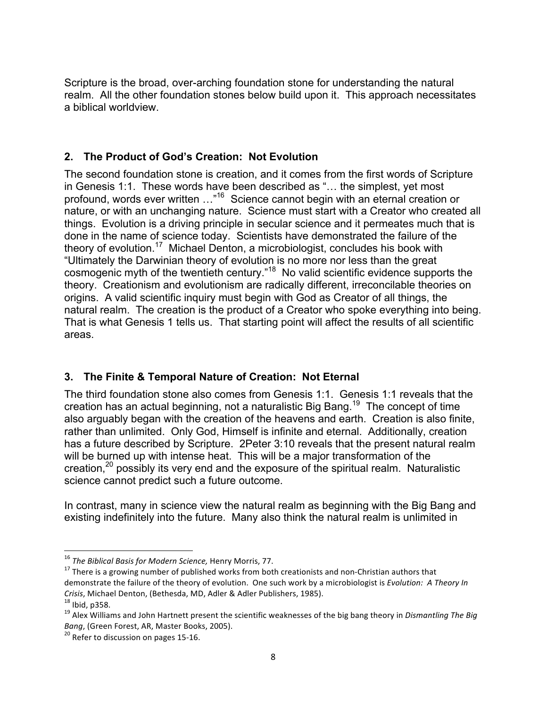Scripture is the broad, over-arching foundation stone for understanding the natural realm. All the other foundation stones below build upon it. This approach necessitates a biblical worldview.

## **2. The Product of God's Creation: Not Evolution**

The second foundation stone is creation, and it comes from the first words of Scripture in Genesis 1:1. These words have been described as "… the simplest, yet most profound, words ever written ..."<sup>16</sup> Science cannot begin with an eternal creation or nature, or with an unchanging nature. Science must start with a Creator who created all things. Evolution is a driving principle in secular science and it permeates much that is done in the name of science today. Scientists have demonstrated the failure of the theory of evolution. 17 Michael Denton, a microbiologist, concludes his book with "Ultimately the Darwinian theory of evolution is no more nor less than the great cosmogenic myth of the twentieth century."18 No valid scientific evidence supports the theory. Creationism and evolutionism are radically different, irreconcilable theories on origins. A valid scientific inquiry must begin with God as Creator of all things, the natural realm. The creation is the product of a Creator who spoke everything into being. That is what Genesis 1 tells us. That starting point will affect the results of all scientific areas.

## **3. The Finite & Temporal Nature of Creation: Not Eternal**

The third foundation stone also comes from Genesis 1:1. Genesis 1:1 reveals that the creation has an actual beginning, not a naturalistic Big Bang.<sup>19</sup> The concept of time also arguably began with the creation of the heavens and earth. Creation is also finite, rather than unlimited. Only God, Himself is infinite and eternal. Additionally, creation has a future described by Scripture. 2Peter 3:10 reveals that the present natural realm will be burned up with intense heat. This will be a major transformation of the creation, $20$  possibly its very end and the exposure of the spiritual realm. Naturalistic science cannot predict such a future outcome.

In contrast, many in science view the natural realm as beginning with the Big Bang and existing indefinitely into the future. Many also think the natural realm is unlimited in

<sup>&</sup>lt;sup>16</sup> The Biblical Basis for Modern Science, Henry Morris, 77.<br><sup>17</sup> There is a growing number of published works from both creationists and non-Christian authors that demonstrate the failure of the theory of evolution. One such work by a microbiologist is *Evolution: A Theory In Crisis*, Michael Denton, (Bethesda, MD, Adler & Adler Publishers, 1985).<br><sup>18</sup> Ibid, p358.<br><sup>19</sup> Alex Williams and John Hartnett present the scientific weaknesses of the big bang theory in *Dismantling The Big* 

*Bang*, (Green Forest, AR, Master Books, 2005).<br><sup>20</sup> Refer to discussion on pages 15-16.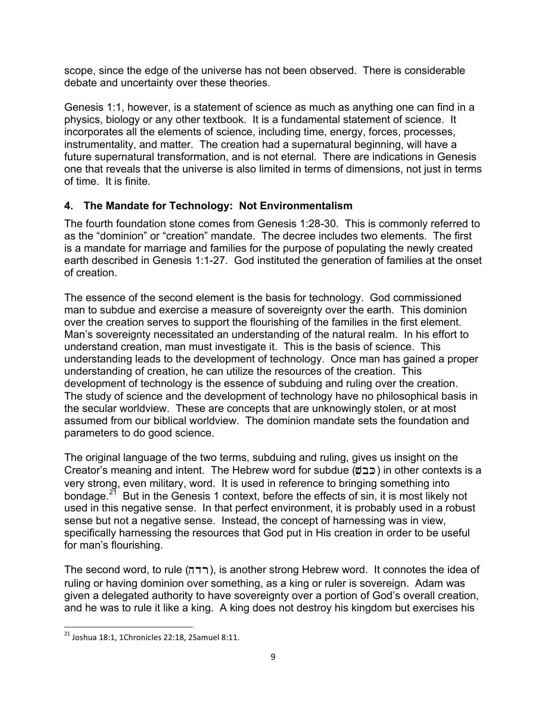scope, since the edge of the universe has not been observed. There is considerable debate and uncertainty over these theories.

Genesis 1:1, however, is a statement of science as much as anything one can find in a physics, biology or any other textbook. It is a fundamental statement of science. It incorporates all the elements of science, including time, energy, forces, processes, instrumentality, and matter. The creation had a supernatural beginning, will have a future supernatural transformation, and is not eternal. There are indications in Genesis one that reveals that the universe is also limited in terms of dimensions, not just in terms of time. It is finite.

# **4. The Mandate for Technology: Not Environmentalism**

The fourth foundation stone comes from Genesis 1:28-30. This is commonly referred to as the "dominion" or "creation" mandate. The decree includes two elements. The first is a mandate for marriage and families for the purpose of populating the newly created earth described in Genesis 1:1-27. God instituted the generation of families at the onset of creation.

The essence of the second element is the basis for technology. God commissioned man to subdue and exercise a measure of sovereignty over the earth. This dominion over the creation serves to support the flourishing of the families in the first element. Man's sovereignty necessitated an understanding of the natural realm. In his effort to understand creation, man must investigate it. This is the basis of science. This understanding leads to the development of technology. Once man has gained a proper understanding of creation, he can utilize the resources of the creation. This development of technology is the essence of subduing and ruling over the creation. The study of science and the development of technology have no philosophical basis in the secular worldview. These are concepts that are unknowingly stolen, or at most assumed from our biblical worldview. The dominion mandate sets the foundation and parameters to do good science.

The original language of the two terms, subduing and ruling, gives us insight on the Creator's meaning and intent. The Hebrew word for subdue ( $\phi$ כב) in other contexts is a very strong, even military, word. It is used in reference to bringing something into bondage.<sup>21</sup> But in the Genesis 1 context, before the effects of sin, it is most likely not used in this negative sense. In that perfect environment, it is probably used in a robust sense but not a negative sense. Instead, the concept of harnessing was in view, specifically harnessing the resources that God put in His creation in order to be useful for man's flourishing.

The second word, to rule (hdr), is another strong Hebrew word. It connotes the idea of ruling or having dominion over something, as a king or ruler is sovereign. Adam was given a delegated authority to have sovereignty over a portion of God's overall creation, and he was to rule it like a king. A king does not destroy his kingdom but exercises his

 $^{21}$  Joshua 18:1, 1Chronicles 22:18, 2Samuel 8:11.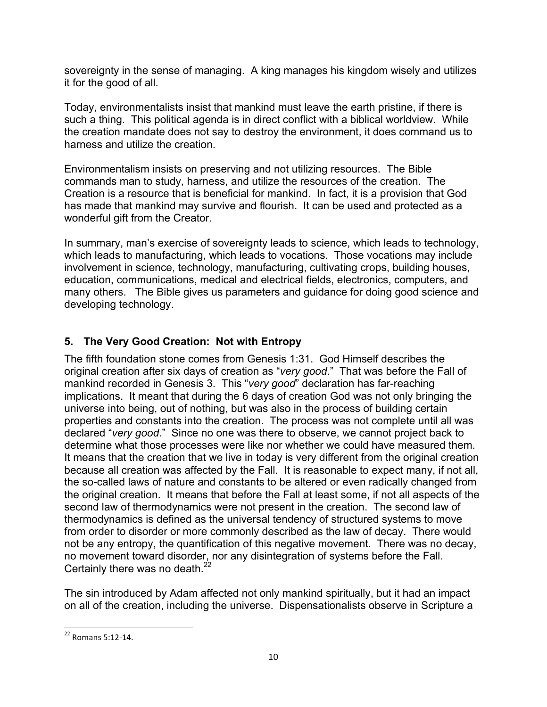sovereignty in the sense of managing. A king manages his kingdom wisely and utilizes it for the good of all.

Today, environmentalists insist that mankind must leave the earth pristine, if there is such a thing. This political agenda is in direct conflict with a biblical worldview. While the creation mandate does not say to destroy the environment, it does command us to harness and utilize the creation.

Environmentalism insists on preserving and not utilizing resources. The Bible commands man to study, harness, and utilize the resources of the creation. The Creation is a resource that is beneficial for mankind. In fact, it is a provision that God has made that mankind may survive and flourish. It can be used and protected as a wonderful gift from the Creator.

In summary, man's exercise of sovereignty leads to science, which leads to technology, which leads to manufacturing, which leads to vocations. Those vocations may include involvement in science, technology, manufacturing, cultivating crops, building houses, education, communications, medical and electrical fields, electronics, computers, and many others. The Bible gives us parameters and guidance for doing good science and developing technology.

# **5. The Very Good Creation: Not with Entropy**

The fifth foundation stone comes from Genesis 1:31. God Himself describes the original creation after six days of creation as "*very good*." That was before the Fall of mankind recorded in Genesis 3. This "*very good*" declaration has far-reaching implications. It meant that during the 6 days of creation God was not only bringing the universe into being, out of nothing, but was also in the process of building certain properties and constants into the creation. The process was not complete until all was declared "*very good*." Since no one was there to observe, we cannot project back to determine what those processes were like nor whether we could have measured them. It means that the creation that we live in today is very different from the original creation because all creation was affected by the Fall. It is reasonable to expect many, if not all, the so-called laws of nature and constants to be altered or even radically changed from the original creation. It means that before the Fall at least some, if not all aspects of the second law of thermodynamics were not present in the creation. The second law of thermodynamics is defined as the universal tendency of structured systems to move from order to disorder or more commonly described as the law of decay. There would not be any entropy, the quantification of this negative movement. There was no decay, no movement toward disorder, nor any disintegration of systems before the Fall. Certainly there was no death.<sup>22</sup>

The sin introduced by Adam affected not only mankind spiritually, but it had an impact on all of the creation, including the universe. Dispensationalists observe in Scripture a

<sup>&</sup>lt;u> 1989 - Johann Stein, markin film yn y breninn y breninn y breninn y breninn y breninn y breninn y breninn y b</u>  $22$  Romans 5:12-14.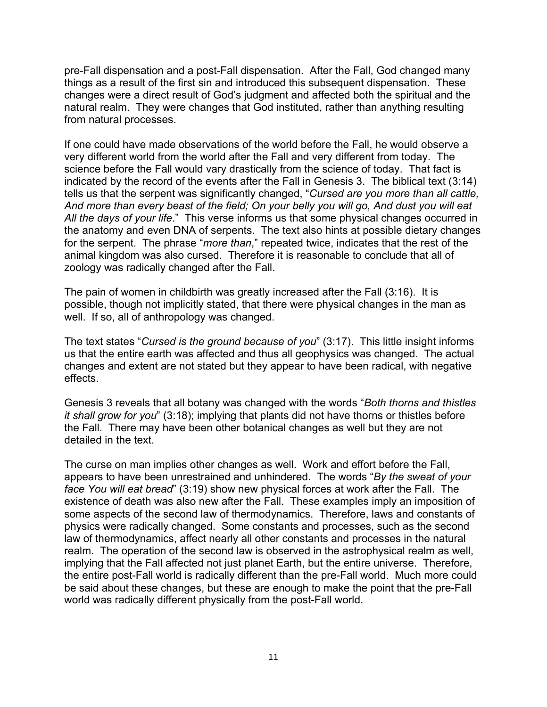pre-Fall dispensation and a post-Fall dispensation. After the Fall, God changed many things as a result of the first sin and introduced this subsequent dispensation. These changes were a direct result of God's judgment and affected both the spiritual and the natural realm. They were changes that God instituted, rather than anything resulting from natural processes.

If one could have made observations of the world before the Fall, he would observe a very different world from the world after the Fall and very different from today. The science before the Fall would vary drastically from the science of today. That fact is indicated by the record of the events after the Fall in Genesis 3. The biblical text (3:14) tells us that the serpent was significantly changed, "*Cursed are you more than all cattle, And more than every beast of the field; On your belly you will go, And dust you will eat All the days of your life*." This verse informs us that some physical changes occurred in the anatomy and even DNA of serpents. The text also hints at possible dietary changes for the serpent. The phrase "*more than*," repeated twice, indicates that the rest of the animal kingdom was also cursed. Therefore it is reasonable to conclude that all of zoology was radically changed after the Fall.

The pain of women in childbirth was greatly increased after the Fall (3:16). It is possible, though not implicitly stated, that there were physical changes in the man as well. If so, all of anthropology was changed.

The text states "*Cursed is the ground because of you*" (3:17). This little insight informs us that the entire earth was affected and thus all geophysics was changed. The actual changes and extent are not stated but they appear to have been radical, with negative effects.

Genesis 3 reveals that all botany was changed with the words "*Both thorns and thistles it shall grow for you*" (3:18); implying that plants did not have thorns or thistles before the Fall. There may have been other botanical changes as well but they are not detailed in the text.

The curse on man implies other changes as well. Work and effort before the Fall, appears to have been unrestrained and unhindered. The words "*By the sweat of your face You will eat bread*" (3:19) show new physical forces at work after the Fall. The existence of death was also new after the Fall. These examples imply an imposition of some aspects of the second law of thermodynamics. Therefore, laws and constants of physics were radically changed. Some constants and processes, such as the second law of thermodynamics, affect nearly all other constants and processes in the natural realm. The operation of the second law is observed in the astrophysical realm as well, implying that the Fall affected not just planet Earth, but the entire universe. Therefore, the entire post-Fall world is radically different than the pre-Fall world. Much more could be said about these changes, but these are enough to make the point that the pre-Fall world was radically different physically from the post-Fall world.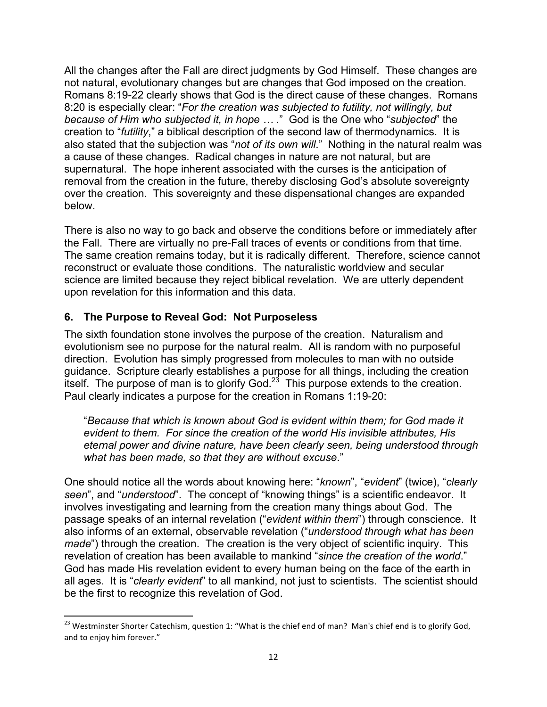All the changes after the Fall are direct judgments by God Himself. These changes are not natural, evolutionary changes but are changes that God imposed on the creation. Romans 8:19-22 clearly shows that God is the direct cause of these changes. Romans 8:20 is especially clear: "*For the creation was subjected to futility, not willingly, but because of Him who subjected it, in hope … .*" God is the One who "*subjected*" the creation to "*futility*," a biblical description of the second law of thermodynamics. It is also stated that the subjection was "*not of its own will*." Nothing in the natural realm was a cause of these changes. Radical changes in nature are not natural, but are supernatural. The hope inherent associated with the curses is the anticipation of removal from the creation in the future, thereby disclosing God's absolute sovereignty over the creation. This sovereignty and these dispensational changes are expanded below.

There is also no way to go back and observe the conditions before or immediately after the Fall. There are virtually no pre-Fall traces of events or conditions from that time. The same creation remains today, but it is radically different. Therefore, science cannot reconstruct or evaluate those conditions. The naturalistic worldview and secular science are limited because they reject biblical revelation. We are utterly dependent upon revelation for this information and this data.

## **6. The Purpose to Reveal God: Not Purposeless**

<u> 1989 - Johann Stein, markin film yn y breninn y breninn y breninn y breninn y breninn y breninn y breninn y b</u>

The sixth foundation stone involves the purpose of the creation. Naturalism and evolutionism see no purpose for the natural realm. All is random with no purposeful direction. Evolution has simply progressed from molecules to man with no outside guidance. Scripture clearly establishes a purpose for all things, including the creation itself. The purpose of man is to glorify God. $2<sup>3</sup>$  This purpose extends to the creation. Paul clearly indicates a purpose for the creation in Romans 1:19-20:

"*Because that which is known about God is evident within them; for God made it evident to them. For since the creation of the world His invisible attributes, His eternal power and divine nature, have been clearly seen, being understood through what has been made, so that they are without excuse*."

One should notice all the words about knowing here: "*known*", "*evident*" (twice), "*clearly seen*", and "*understood*". The concept of "knowing things" is a scientific endeavor. It involves investigating and learning from the creation many things about God. The passage speaks of an internal revelation ("*evident within them*") through conscience. It also informs of an external, observable revelation ("*understood through what has been made*") through the creation. The creation is the very object of scientific inquiry. This revelation of creation has been available to mankind "*since the creation of the world*." God has made His revelation evident to every human being on the face of the earth in all ages. It is "*clearly evident*" to all mankind, not just to scientists. The scientist should be the first to recognize this revelation of God.

<sup>&</sup>lt;sup>23</sup> Westminster Shorter Catechism, question 1: "What is the chief end of man? Man's chief end is to glorify God, and to enjoy him forever."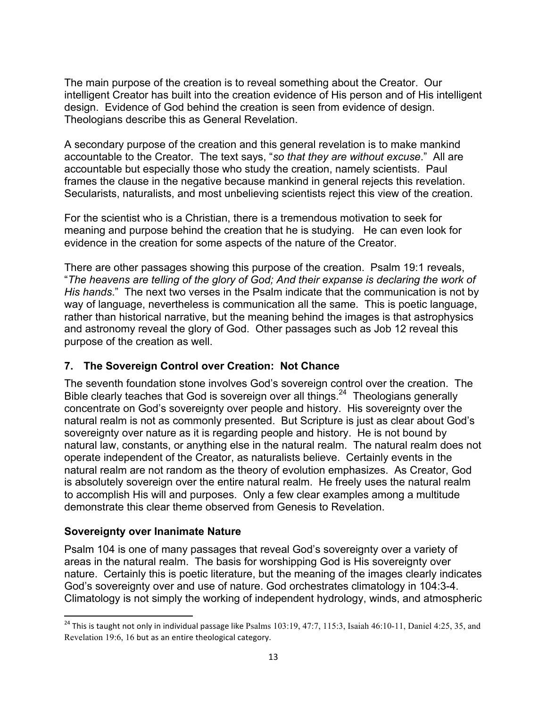The main purpose of the creation is to reveal something about the Creator. Our intelligent Creator has built into the creation evidence of His person and of His intelligent design. Evidence of God behind the creation is seen from evidence of design. Theologians describe this as General Revelation.

A secondary purpose of the creation and this general revelation is to make mankind accountable to the Creator. The text says, "*so that they are without excuse*." All are accountable but especially those who study the creation, namely scientists. Paul frames the clause in the negative because mankind in general rejects this revelation. Secularists, naturalists, and most unbelieving scientists reject this view of the creation.

For the scientist who is a Christian, there is a tremendous motivation to seek for meaning and purpose behind the creation that he is studying. He can even look for evidence in the creation for some aspects of the nature of the Creator.

There are other passages showing this purpose of the creation. Psalm 19:1 reveals, "*The heavens are telling of the glory of God; And their expanse is declaring the work of His hands*." The next two verses in the Psalm indicate that the communication is not by way of language, nevertheless is communication all the same. This is poetic language, rather than historical narrative, but the meaning behind the images is that astrophysics and astronomy reveal the glory of God. Other passages such as Job 12 reveal this purpose of the creation as well.

## **7. The Sovereign Control over Creation: Not Chance**

The seventh foundation stone involves God's sovereign control over the creation. The Bible clearly teaches that God is sovereign over all things.<sup>24</sup> Theologians generally concentrate on God's sovereignty over people and history. His sovereignty over the natural realm is not as commonly presented. But Scripture is just as clear about God's sovereignty over nature as it is regarding people and history. He is not bound by natural law, constants, or anything else in the natural realm. The natural realm does not operate independent of the Creator, as naturalists believe. Certainly events in the natural realm are not random as the theory of evolution emphasizes. As Creator, God is absolutely sovereign over the entire natural realm. He freely uses the natural realm to accomplish His will and purposes. Only a few clear examples among a multitude demonstrate this clear theme observed from Genesis to Revelation.

## **Sovereignty over Inanimate Nature**

<u> 1989 - Johann Stein, fransk politik (d. 1989)</u>

Psalm 104 is one of many passages that reveal God's sovereignty over a variety of areas in the natural realm. The basis for worshipping God is His sovereignty over nature. Certainly this is poetic literature, but the meaning of the images clearly indicates God's sovereignty over and use of nature. God orchestrates climatology in 104:3-4. Climatology is not simply the working of independent hydrology, winds, and atmospheric

 $24$  This is taught not only in individual passage like Psalms 103:19, 47:7, 115:3, Isaiah 46:10-11, Daniel 4:25, 35, and Revelation 19:6, 16 but as an entire theological category.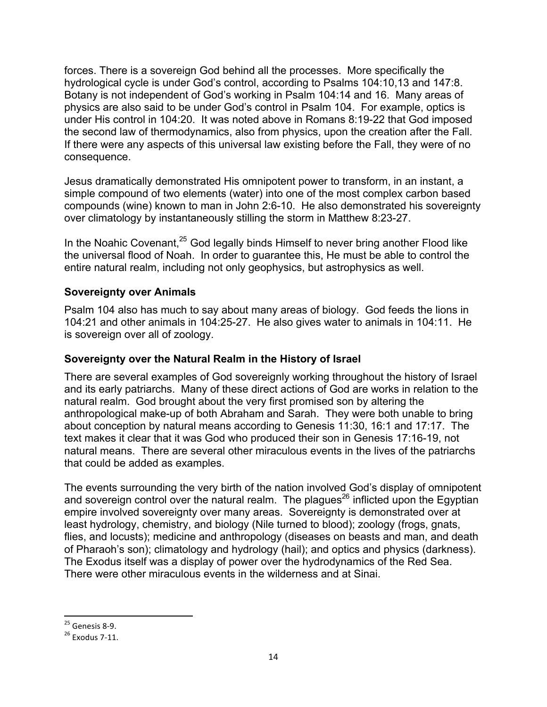forces. There is a sovereign God behind all the processes. More specifically the hydrological cycle is under God's control, according to Psalms 104:10,13 and 147:8. Botany is not independent of God's working in Psalm 104:14 and 16. Many areas of physics are also said to be under God's control in Psalm 104. For example, optics is under His control in 104:20. It was noted above in Romans 8:19-22 that God imposed the second law of thermodynamics, also from physics, upon the creation after the Fall. If there were any aspects of this universal law existing before the Fall, they were of no consequence.

Jesus dramatically demonstrated His omnipotent power to transform, in an instant, a simple compound of two elements (water) into one of the most complex carbon based compounds (wine) known to man in John 2:6-10. He also demonstrated his sovereignty over climatology by instantaneously stilling the storm in Matthew 8:23-27.

In the Noahic Covenant, $25$  God legally binds Himself to never bring another Flood like the universal flood of Noah. In order to guarantee this, He must be able to control the entire natural realm, including not only geophysics, but astrophysics as well.

## **Sovereignty over Animals**

Psalm 104 also has much to say about many areas of biology. God feeds the lions in 104:21 and other animals in 104:25-27. He also gives water to animals in 104:11. He is sovereign over all of zoology.

### **Sovereignty over the Natural Realm in the History of Israel**

There are several examples of God sovereignly working throughout the history of Israel and its early patriarchs. Many of these direct actions of God are works in relation to the natural realm. God brought about the very first promised son by altering the anthropological make-up of both Abraham and Sarah. They were both unable to bring about conception by natural means according to Genesis 11:30, 16:1 and 17:17. The text makes it clear that it was God who produced their son in Genesis 17:16-19, not natural means. There are several other miraculous events in the lives of the patriarchs that could be added as examples.

The events surrounding the very birth of the nation involved God's display of omnipotent and sovereign control over the natural realm. The plagues<sup>26</sup> inflicted upon the Egyptian empire involved sovereignty over many areas. Sovereignty is demonstrated over at least hydrology, chemistry, and biology (Nile turned to blood); zoology (frogs, gnats, flies, and locusts); medicine and anthropology (diseases on beasts and man, and death of Pharaoh's son); climatology and hydrology (hail); and optics and physics (darkness). The Exodus itself was a display of power over the hydrodynamics of the Red Sea. There were other miraculous events in the wilderness and at Sinai.

 $^{25}$  Genesis 8-9.<br> $^{26}$  Exodus 7-11.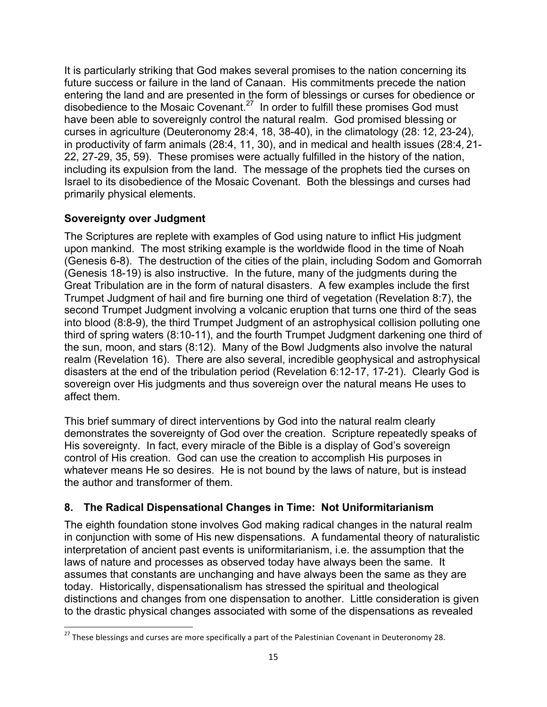It is particularly striking that God makes several promises to the nation concerning its future success or failure in the land of Canaan. His commitments precede the nation entering the land and are presented in the form of blessings or curses for obedience or disobedience to the Mosaic Covenant.27 In order to fulfill these promises God must have been able to sovereignly control the natural realm. God promised blessing or curses in agriculture (Deuteronomy 28:4, 18, 38-40), in the climatology (28: 12, 23-24), in productivity of farm animals (28:4, 11, 30), and in medical and health issues (28:4, 21-22, 27-29, 35, 59). These promises were actually fulfilled in the history of the nation, including its expulsion from the land. The message of the prophets tied the curses on Israel to its disobedience of the Mosaic Covenant. Both the blessings and curses had primarily physical elements.

# **Sovereignty over Judgment**

<u> 1989 - Johann Stein, fransk politik (d. 1989)</u>

The Scriptures are replete with examples of God using nature to inflict His judgment upon mankind. The most striking example is the worldwide flood in the time of Noah (Genesis 6-8). The destruction of the cities of the plain, including Sodom and Gomorrah (Genesis 18-19) is also instructive. In the future, many of the judgments during the Great Tribulation are in the form of natural disasters. A few examples include the first Trumpet Judgment of hail and fire burning one third of vegetation (Revelation 8:7), the second Trumpet Judgment involving a volcanic eruption that turns one third of the seas into blood (8:8-9), the third Trumpet Judgment of an astrophysical collision polluting one third of spring waters (8:10-11), and the fourth Trumpet Judgment darkening one third of the sun, moon, and stars (8:12). Many of the Bowl Judgments also involve the natural realm (Revelation 16). There are also several, incredible geophysical and astrophysical disasters at the end of the tribulation period (Revelation 6:12-17, 17-21). Clearly God is sovereign over His judgments and thus sovereign over the natural means He uses to affect them.

This brief summary of direct interventions by God into the natural realm clearly demonstrates the sovereignty of God over the creation. Scripture repeatedly speaks of His sovereignty. In fact, every miracle of the Bible is a display of God's sovereign control of His creation. God can use the creation to accomplish His purposes in whatever means He so desires. He is not bound by the laws of nature, but is instead the author and transformer of them.

# **8. The Radical Dispensational Changes in Time: Not Uniformitarianism**

The eighth foundation stone involves God making radical changes in the natural realm in conjunction with some of His new dispensations. A fundamental theory of naturalistic interpretation of ancient past events is uniformitarianism, i.e. the assumption that the laws of nature and processes as observed today have always been the same. It assumes that constants are unchanging and have always been the same as they are today. Historically, dispensationalism has stressed the spiritual and theological distinctions and changes from one dispensation to another. Little consideration is given to the drastic physical changes associated with some of the dispensations as revealed

 $^{27}$  These blessings and curses are more specifically a part of the Palestinian Covenant in Deuteronomy 28.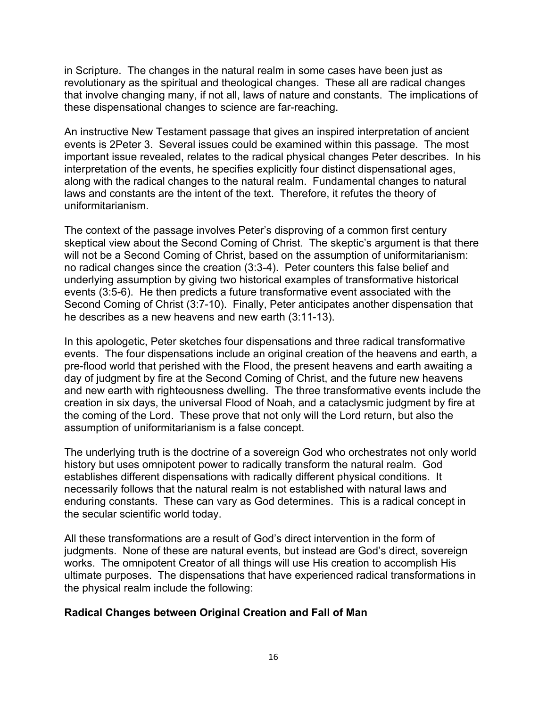in Scripture. The changes in the natural realm in some cases have been just as revolutionary as the spiritual and theological changes. These all are radical changes that involve changing many, if not all, laws of nature and constants. The implications of these dispensational changes to science are far-reaching.

An instructive New Testament passage that gives an inspired interpretation of ancient events is 2Peter 3. Several issues could be examined within this passage. The most important issue revealed, relates to the radical physical changes Peter describes. In his interpretation of the events, he specifies explicitly four distinct dispensational ages, along with the radical changes to the natural realm. Fundamental changes to natural laws and constants are the intent of the text. Therefore, it refutes the theory of uniformitarianism.

The context of the passage involves Peter's disproving of a common first century skeptical view about the Second Coming of Christ. The skeptic's argument is that there will not be a Second Coming of Christ, based on the assumption of uniformitarianism: no radical changes since the creation (3:3-4). Peter counters this false belief and underlying assumption by giving two historical examples of transformative historical events (3:5-6). He then predicts a future transformative event associated with the Second Coming of Christ (3:7-10). Finally, Peter anticipates another dispensation that he describes as a new heavens and new earth (3:11-13).

In this apologetic, Peter sketches four dispensations and three radical transformative events. The four dispensations include an original creation of the heavens and earth, a pre-flood world that perished with the Flood, the present heavens and earth awaiting a day of judgment by fire at the Second Coming of Christ, and the future new heavens and new earth with righteousness dwelling. The three transformative events include the creation in six days, the universal Flood of Noah, and a cataclysmic judgment by fire at the coming of the Lord. These prove that not only will the Lord return, but also the assumption of uniformitarianism is a false concept.

The underlying truth is the doctrine of a sovereign God who orchestrates not only world history but uses omnipotent power to radically transform the natural realm. God establishes different dispensations with radically different physical conditions. It necessarily follows that the natural realm is not established with natural laws and enduring constants. These can vary as God determines. This is a radical concept in the secular scientific world today.

All these transformations are a result of God's direct intervention in the form of judgments. None of these are natural events, but instead are God's direct, sovereign works. The omnipotent Creator of all things will use His creation to accomplish His ultimate purposes. The dispensations that have experienced radical transformations in the physical realm include the following:

### **Radical Changes between Original Creation and Fall of Man**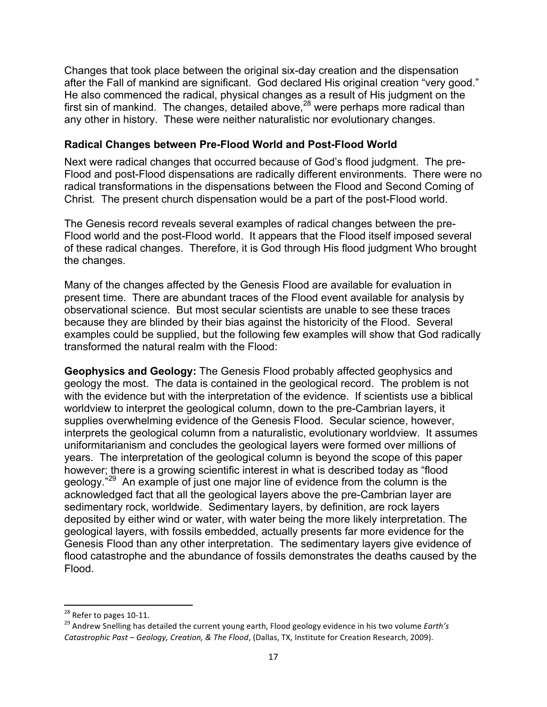Changes that took place between the original six-day creation and the dispensation after the Fall of mankind are significant. God declared His original creation "very good." He also commenced the radical, physical changes as a result of His judgment on the first sin of mankind. The changes, detailed above,  $28$  were perhaps more radical than any other in history. These were neither naturalistic nor evolutionary changes.

### **Radical Changes between Pre-Flood World and Post-Flood World**

Next were radical changes that occurred because of God's flood judgment. The pre-Flood and post-Flood dispensations are radically different environments. There were no radical transformations in the dispensations between the Flood and Second Coming of Christ. The present church dispensation would be a part of the post-Flood world.

The Genesis record reveals several examples of radical changes between the pre-Flood world and the post-Flood world. It appears that the Flood itself imposed several of these radical changes. Therefore, it is God through His flood judgment Who brought the changes.

Many of the changes affected by the Genesis Flood are available for evaluation in present time. There are abundant traces of the Flood event available for analysis by observational science. But most secular scientists are unable to see these traces because they are blinded by their bias against the historicity of the Flood. Several examples could be supplied, but the following few examples will show that God radically transformed the natural realm with the Flood:

**Geophysics and Geology:** The Genesis Flood probably affected geophysics and geology the most. The data is contained in the geological record. The problem is not with the evidence but with the interpretation of the evidence. If scientists use a biblical worldview to interpret the geological column, down to the pre-Cambrian layers, it supplies overwhelming evidence of the Genesis Flood. Secular science, however, interprets the geological column from a naturalistic, evolutionary worldview. It assumes uniformitarianism and concludes the geological layers were formed over millions of years. The interpretation of the geological column is beyond the scope of this paper however; there is a growing scientific interest in what is described today as "flood geology."<sup>29</sup> An example of just one major line of evidence from the column is the acknowledged fact that all the geological layers above the pre-Cambrian layer are sedimentary rock, worldwide. Sedimentary layers, by definition, are rock layers deposited by either wind or water, with water being the more likely interpretation. The geological layers, with fossils embedded, actually presents far more evidence for the Genesis Flood than any other interpretation. The sedimentary layers give evidence of flood catastrophe and the abundance of fossils demonstrates the deaths caused by the Flood.

<sup>&</sup>lt;sup>28</sup> Refer to pages 10-11.<br><sup>29</sup> Andrew Snelling has detailed the current young earth, Flood geology evidence in his two volume *Earth's Catastrophic Past – Geology, Creation, & The Flood,* (Dallas, TX, Institute for Creation Research, 2009).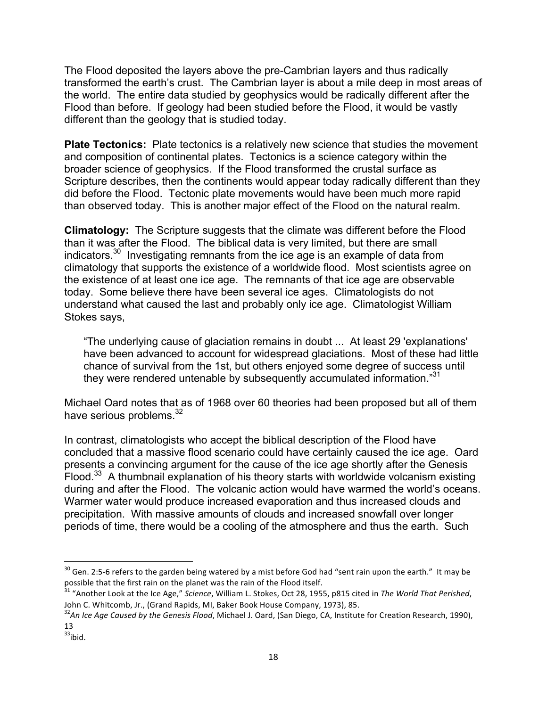The Flood deposited the layers above the pre-Cambrian layers and thus radically transformed the earth's crust. The Cambrian layer is about a mile deep in most areas of the world. The entire data studied by geophysics would be radically different after the Flood than before. If geology had been studied before the Flood, it would be vastly different than the geology that is studied today.

**Plate Tectonics:** Plate tectonics is a relatively new science that studies the movement and composition of continental plates. Tectonics is a science category within the broader science of geophysics. If the Flood transformed the crustal surface as Scripture describes, then the continents would appear today radically different than they did before the Flood. Tectonic plate movements would have been much more rapid than observed today. This is another major effect of the Flood on the natural realm.

**Climatology:** The Scripture suggests that the climate was different before the Flood than it was after the Flood. The biblical data is very limited, but there are small indicators.30 Investigating remnants from the ice age is an example of data from climatology that supports the existence of a worldwide flood. Most scientists agree on the existence of at least one ice age. The remnants of that ice age are observable today. Some believe there have been several ice ages. Climatologists do not understand what caused the last and probably only ice age. Climatologist William Stokes says,

"The underlying cause of glaciation remains in doubt ... At least 29 'explanations' have been advanced to account for widespread glaciations. Most of these had little chance of survival from the 1st, but others enjoyed some degree of success until they were rendered untenable by subsequently accumulated information."31

Michael Oard notes that as of 1968 over 60 theories had been proposed but all of them have serious problems.<sup>32</sup>

In contrast, climatologists who accept the biblical description of the Flood have concluded that a massive flood scenario could have certainly caused the ice age. Oard presents a convincing argument for the cause of the ice age shortly after the Genesis Flood. $33$  A thumbnail explanation of his theory starts with worldwide volcanism existing during and after the Flood. The volcanic action would have warmed the world's oceans. Warmer water would produce increased evaporation and thus increased clouds and precipitation. With massive amounts of clouds and increased snowfall over longer periods of time, there would be a cooling of the atmosphere and thus the earth. Such

 $30$  Gen. 2:5-6 refers to the garden being watered by a mist before God had "sent rain upon the earth." It may be possible that the first rain on the planet was the rain of the Flood itself.

<sup>&</sup>lt;sup>31</sup> "Another Look at the Ice Age," *Science*, William L. Stokes, Oct 28, 1955, p815 cited in *The World That Perished*, John C. Whitcomb, Jr., (Grand Rapids, MI, Baker Book House Company, 1973), 85.

<sup>&</sup>lt;sup>32</sup>An Ice Age Caused by the Genesis Flood, Michael J. Oard, (San Diego, CA, Institute for Creation Research, 1990), 13 

 $33$ ibid.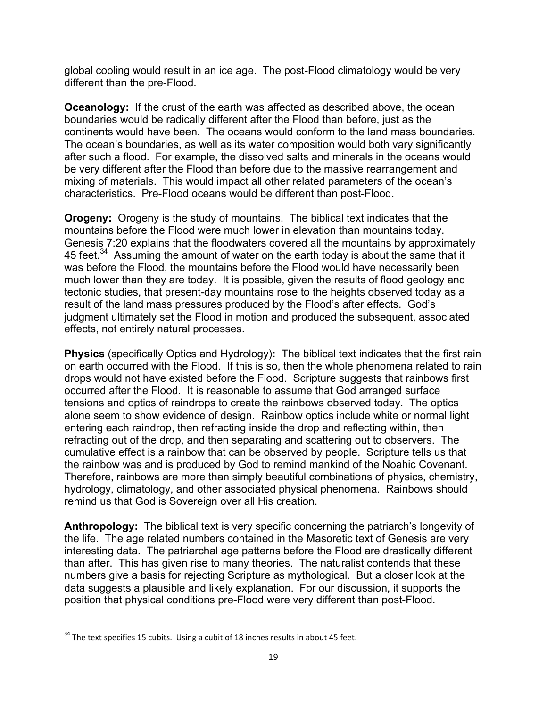global cooling would result in an ice age. The post-Flood climatology would be very different than the pre-Flood.

**Oceanology:** If the crust of the earth was affected as described above, the ocean boundaries would be radically different after the Flood than before, just as the continents would have been. The oceans would conform to the land mass boundaries. The ocean's boundaries, as well as its water composition would both vary significantly after such a flood. For example, the dissolved salts and minerals in the oceans would be very different after the Flood than before due to the massive rearrangement and mixing of materials. This would impact all other related parameters of the ocean's characteristics. Pre-Flood oceans would be different than post-Flood.

**Orogeny:** Orogeny is the study of mountains. The biblical text indicates that the mountains before the Flood were much lower in elevation than mountains today. Genesis 7:20 explains that the floodwaters covered all the mountains by approximately 45 feet.<sup>34</sup> Assuming the amount of water on the earth today is about the same that it was before the Flood, the mountains before the Flood would have necessarily been much lower than they are today. It is possible, given the results of flood geology and tectonic studies, that present-day mountains rose to the heights observed today as a result of the land mass pressures produced by the Flood's after effects. God's judgment ultimately set the Flood in motion and produced the subsequent, associated effects, not entirely natural processes.

**Physics** (specifically Optics and Hydrology)**:** The biblical text indicates that the first rain on earth occurred with the Flood. If this is so, then the whole phenomena related to rain drops would not have existed before the Flood. Scripture suggests that rainbows first occurred after the Flood. It is reasonable to assume that God arranged surface tensions and optics of raindrops to create the rainbows observed today. The optics alone seem to show evidence of design. Rainbow optics include white or normal light entering each raindrop, then refracting inside the drop and reflecting within, then refracting out of the drop, and then separating and scattering out to observers. The cumulative effect is a rainbow that can be observed by people. Scripture tells us that the rainbow was and is produced by God to remind mankind of the Noahic Covenant. Therefore, rainbows are more than simply beautiful combinations of physics, chemistry, hydrology, climatology, and other associated physical phenomena. Rainbows should remind us that God is Sovereign over all His creation.

**Anthropology:** The biblical text is very specific concerning the patriarch's longevity of the life. The age related numbers contained in the Masoretic text of Genesis are very interesting data. The patriarchal age patterns before the Flood are drastically different than after. This has given rise to many theories. The naturalist contends that these numbers give a basis for rejecting Scripture as mythological. But a closer look at the data suggests a plausible and likely explanation. For our discussion, it supports the position that physical conditions pre-Flood were very different than post-Flood.

 $34$  The text specifies 15 cubits. Using a cubit of 18 inches results in about 45 feet.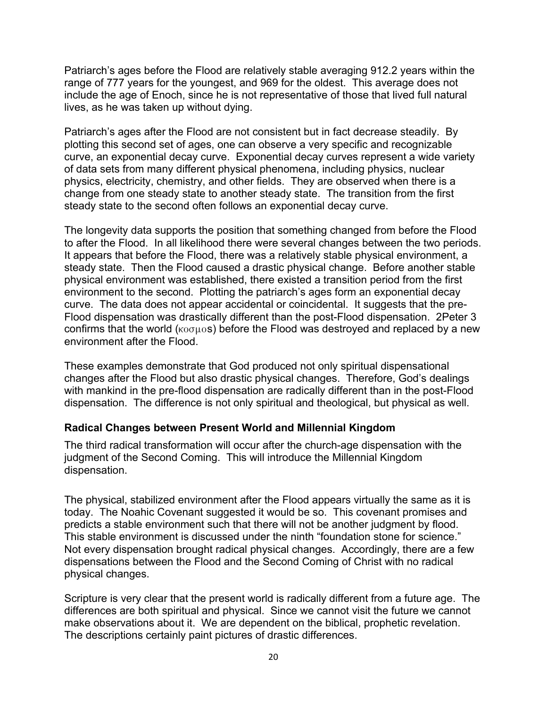Patriarch's ages before the Flood are relatively stable averaging 912.2 years within the range of 777 years for the youngest, and 969 for the oldest. This average does not include the age of Enoch, since he is not representative of those that lived full natural lives, as he was taken up without dying.

Patriarch's ages after the Flood are not consistent but in fact decrease steadily. By plotting this second set of ages, one can observe a very specific and recognizable curve, an exponential decay curve. Exponential decay curves represent a wide variety of data sets from many different physical phenomena, including physics, nuclear physics, electricity, chemistry, and other fields. They are observed when there is a change from one steady state to another steady state. The transition from the first steady state to the second often follows an exponential decay curve.

The longevity data supports the position that something changed from before the Flood to after the Flood. In all likelihood there were several changes between the two periods. It appears that before the Flood, there was a relatively stable physical environment, a steady state. Then the Flood caused a drastic physical change. Before another stable physical environment was established, there existed a transition period from the first environment to the second. Plotting the patriarch's ages form an exponential decay curve. The data does not appear accidental or coincidental. It suggests that the pre-Flood dispensation was drastically different than the post-Flood dispensation. 2Peter 3 confirms that the world ( $k \sigma \sigma \mu \sigma s$ ) before the Flood was destroyed and replaced by a new environment after the Flood.

These examples demonstrate that God produced not only spiritual dispensational changes after the Flood but also drastic physical changes. Therefore, God's dealings with mankind in the pre-flood dispensation are radically different than in the post-Flood dispensation. The difference is not only spiritual and theological, but physical as well.

### **Radical Changes between Present World and Millennial Kingdom**

The third radical transformation will occur after the church-age dispensation with the judgment of the Second Coming. This will introduce the Millennial Kingdom dispensation.

The physical, stabilized environment after the Flood appears virtually the same as it is today. The Noahic Covenant suggested it would be so. This covenant promises and predicts a stable environment such that there will not be another judgment by flood. This stable environment is discussed under the ninth "foundation stone for science." Not every dispensation brought radical physical changes. Accordingly, there are a few dispensations between the Flood and the Second Coming of Christ with no radical physical changes.

Scripture is very clear that the present world is radically different from a future age. The differences are both spiritual and physical. Since we cannot visit the future we cannot make observations about it. We are dependent on the biblical, prophetic revelation. The descriptions certainly paint pictures of drastic differences.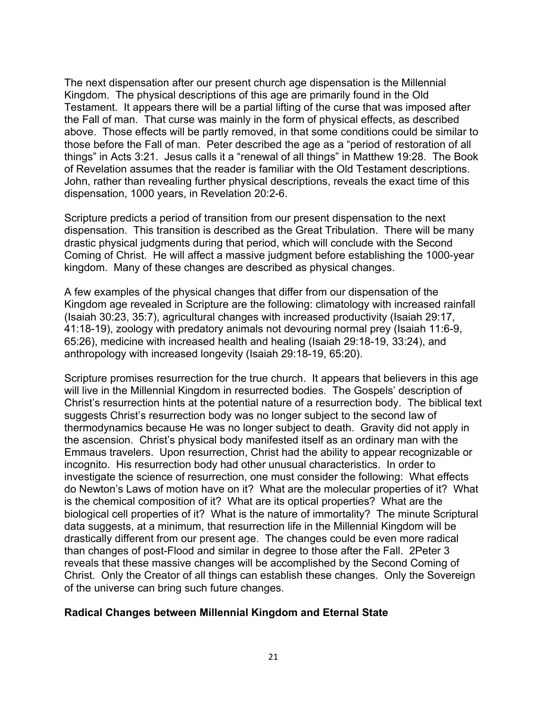The next dispensation after our present church age dispensation is the Millennial Kingdom. The physical descriptions of this age are primarily found in the Old Testament. It appears there will be a partial lifting of the curse that was imposed after the Fall of man. That curse was mainly in the form of physical effects, as described above. Those effects will be partly removed, in that some conditions could be similar to those before the Fall of man. Peter described the age as a "period of restoration of all things" in Acts 3:21. Jesus calls it a "renewal of all things" in Matthew 19:28. The Book of Revelation assumes that the reader is familiar with the Old Testament descriptions. John, rather than revealing further physical descriptions, reveals the exact time of this dispensation, 1000 years, in Revelation 20:2-6.

Scripture predicts a period of transition from our present dispensation to the next dispensation. This transition is described as the Great Tribulation. There will be many drastic physical judgments during that period, which will conclude with the Second Coming of Christ. He will affect a massive judgment before establishing the 1000-year kingdom. Many of these changes are described as physical changes.

A few examples of the physical changes that differ from our dispensation of the Kingdom age revealed in Scripture are the following: climatology with increased rainfall (Isaiah 30:23, 35:7), agricultural changes with increased productivity (Isaiah 29:17, 41:18-19), zoology with predatory animals not devouring normal prey (Isaiah 11:6-9, 65:26), medicine with increased health and healing (Isaiah 29:18-19, 33:24), and anthropology with increased longevity (Isaiah 29:18-19, 65:20).

Scripture promises resurrection for the true church. It appears that believers in this age will live in the Millennial Kingdom in resurrected bodies. The Gospels' description of Christ's resurrection hints at the potential nature of a resurrection body. The biblical text suggests Christ's resurrection body was no longer subject to the second law of thermodynamics because He was no longer subject to death. Gravity did not apply in the ascension. Christ's physical body manifested itself as an ordinary man with the Emmaus travelers. Upon resurrection, Christ had the ability to appear recognizable or incognito. His resurrection body had other unusual characteristics. In order to investigate the science of resurrection, one must consider the following: What effects do Newton's Laws of motion have on it? What are the molecular properties of it? What is the chemical composition of it? What are its optical properties? What are the biological cell properties of it? What is the nature of immortality? The minute Scriptural data suggests, at a minimum, that resurrection life in the Millennial Kingdom will be drastically different from our present age. The changes could be even more radical than changes of post-Flood and similar in degree to those after the Fall. 2Peter 3 reveals that these massive changes will be accomplished by the Second Coming of Christ. Only the Creator of all things can establish these changes. Only the Sovereign of the universe can bring such future changes.

#### **Radical Changes between Millennial Kingdom and Eternal State**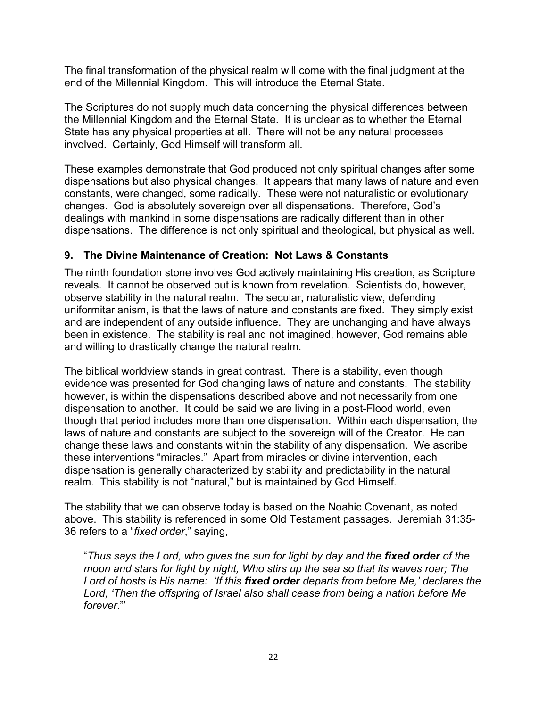The final transformation of the physical realm will come with the final judgment at the end of the Millennial Kingdom. This will introduce the Eternal State.

The Scriptures do not supply much data concerning the physical differences between the Millennial Kingdom and the Eternal State. It is unclear as to whether the Eternal State has any physical properties at all. There will not be any natural processes involved. Certainly, God Himself will transform all.

These examples demonstrate that God produced not only spiritual changes after some dispensations but also physical changes. It appears that many laws of nature and even constants, were changed, some radically. These were not naturalistic or evolutionary changes. God is absolutely sovereign over all dispensations. Therefore, God's dealings with mankind in some dispensations are radically different than in other dispensations. The difference is not only spiritual and theological, but physical as well.

# **9. The Divine Maintenance of Creation: Not Laws & Constants**

The ninth foundation stone involves God actively maintaining His creation, as Scripture reveals. It cannot be observed but is known from revelation. Scientists do, however, observe stability in the natural realm. The secular, naturalistic view, defending uniformitarianism, is that the laws of nature and constants are fixed. They simply exist and are independent of any outside influence. They are unchanging and have always been in existence. The stability is real and not imagined, however, God remains able and willing to drastically change the natural realm.

The biblical worldview stands in great contrast. There is a stability, even though evidence was presented for God changing laws of nature and constants. The stability however, is within the dispensations described above and not necessarily from one dispensation to another. It could be said we are living in a post-Flood world, even though that period includes more than one dispensation. Within each dispensation, the laws of nature and constants are subject to the sovereign will of the Creator. He can change these laws and constants within the stability of any dispensation. We ascribe these interventions "miracles." Apart from miracles or divine intervention, each dispensation is generally characterized by stability and predictability in the natural realm. This stability is not "natural," but is maintained by God Himself.

The stability that we can observe today is based on the Noahic Covenant, as noted above. This stability is referenced in some Old Testament passages. Jeremiah 31:35- 36 refers to a "*fixed order*," saying,

"*Thus says the Lord, who gives the sun for light by day and the fixed order of the moon and stars for light by night, Who stirs up the sea so that its waves roar; The Lord of hosts is His name: 'If this fixed order departs from before Me,' declares the Lord, 'Then the offspring of Israel also shall cease from being a nation before Me forever*."'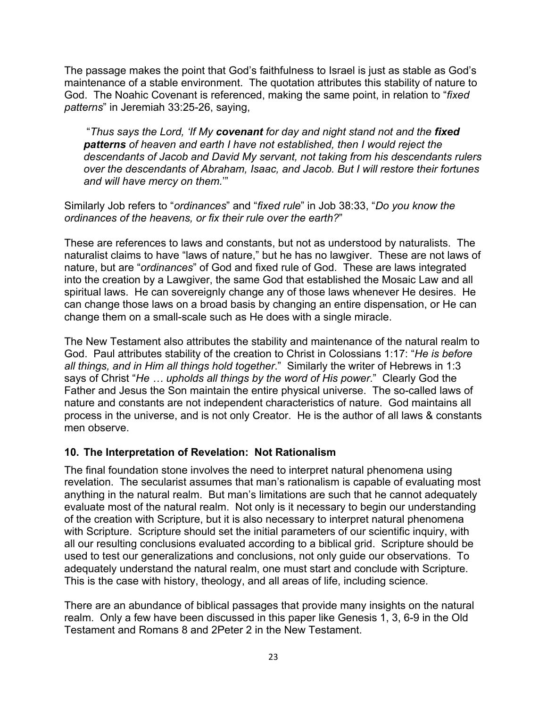The passage makes the point that God's faithfulness to Israel is just as stable as God's maintenance of a stable environment. The quotation attributes this stability of nature to God. The Noahic Covenant is referenced, making the same point, in relation to "*fixed patterns*" in Jeremiah 33:25-26, saying,

"*Thus says the Lord, 'If My covenant for day and night stand not and the fixed patterns of heaven and earth I have not established, then I would reject the descendants of Jacob and David My servant, not taking from his descendants rulers over the descendants of Abraham, Isaac, and Jacob. But I will restore their fortunes and will have mercy on them.*'"

Similarly Job refers to "*ordinances*" and "*fixed rule*" in Job 38:33, "*Do you know the ordinances of the heavens, or fix their rule over the earth?*"

These are references to laws and constants, but not as understood by naturalists. The naturalist claims to have "laws of nature," but he has no lawgiver. These are not laws of nature, but are "*ordinances*" of God and fixed rule of God. These are laws integrated into the creation by a Lawgiver, the same God that established the Mosaic Law and all spiritual laws. He can sovereignly change any of those laws whenever He desires. He can change those laws on a broad basis by changing an entire dispensation, or He can change them on a small-scale such as He does with a single miracle.

The New Testament also attributes the stability and maintenance of the natural realm to God. Paul attributes stability of the creation to Christ in Colossians 1:17: "*He is before all things, and in Him all things hold together*." Similarly the writer of Hebrews in 1:3 says of Christ "*He … upholds all things by the word of His power*." Clearly God the Father and Jesus the Son maintain the entire physical universe. The so-called laws of nature and constants are not independent characteristics of nature. God maintains all process in the universe, and is not only Creator. He is the author of all laws & constants men observe.

## **10. The Interpretation of Revelation: Not Rationalism**

The final foundation stone involves the need to interpret natural phenomena using revelation. The secularist assumes that man's rationalism is capable of evaluating most anything in the natural realm. But man's limitations are such that he cannot adequately evaluate most of the natural realm. Not only is it necessary to begin our understanding of the creation with Scripture, but it is also necessary to interpret natural phenomena with Scripture. Scripture should set the initial parameters of our scientific inquiry, with all our resulting conclusions evaluated according to a biblical grid. Scripture should be used to test our generalizations and conclusions, not only guide our observations. To adequately understand the natural realm, one must start and conclude with Scripture. This is the case with history, theology, and all areas of life, including science.

There are an abundance of biblical passages that provide many insights on the natural realm. Only a few have been discussed in this paper like Genesis 1, 3, 6-9 in the Old Testament and Romans 8 and 2Peter 2 in the New Testament.